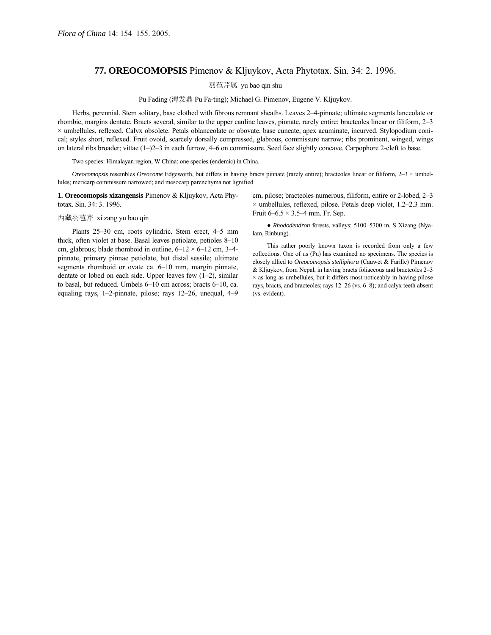## **77. OREOCOMOPSIS** Pimenov & Kljuykov, Acta Phytotax. Sin. 34: 2. 1996.

羽苞芹属 yu bao qin shu

Pu Fading (溥发鼎 Pu Fa-ting); Michael G. Pimenov, Eugene V. Kljuykov.

Herbs, perennial. Stem solitary, base clothed with fibrous remnant sheaths. Leaves 2-4-pinnate; ultimate segments lanceolate or rhombic, margins dentate. Bracts several, similar to the upper cauline leaves, pinnate, rarely entire; bracteoles linear or filiform, 2–3 × umbellules, reflexed. Calyx obsolete. Petals oblanceolate or obovate, base cuneate, apex acuminate, incurved. Stylopodium conical; styles short, reflexed. Fruit ovoid, scarcely dorsally compressed, glabrous, commissure narrow; ribs prominent, winged, wings on lateral ribs broader; vittae  $(1–)2–3$  in each furrow,  $4–6$  on commissure. Seed face slightly concave. Carpophore 2-cleft to base.

Two species: Himalayan region, W China: one species (endemic) in China.

*Oreocomopsis* resembles *Oreocome* Edgeworth, but differs in having bracts pinnate (rarely entire); bracteoles linear or filiform,  $2-3 \times$ umbellules; mericarp commissure narrowed; and mesocarp parenchyma not lignified.

**1. Oreocomopsis xizangensis** Pimenov & Kljuykov, Acta Phytotax. Sin. 34: 3. 1996.

西藏羽苞芹 xi zang yu bao qin

Plants 25-30 cm, roots cylindric. Stem erect, 4-5 mm thick, often violet at base. Basal leaves petiolate, petioles  $8-10$ cm, glabrous; blade rhomboid in outline,  $6-12 \times 6-12$  cm, 3-4pinnate, primary pinnae petiolate, but distal sessile; ultimate segments rhomboid or ovate ca.  $6-10$  mm, margin pinnate, dentate or lobed on each side. Upper leaves few  $(1-2)$ , similar to basal, but reduced. Umbels  $6-10$  cm across; bracts  $6-10$ , ca. equaling rays, 1-2-pinnate, pilose; rays  $12-26$ , unequal,  $4-9$  cm, pilose; bracteoles numerous, filiform, entire or  $2$ -lobed,  $2-3$  $\times$  umbellules, reflexed, pilose. Petals deep violet, 1.2–2.3 mm. Fruit  $6-6.5 \times 3.5-4$  mm. Fr. Sep.

• *Rhododendron* forests, valleys; 5100-5300 m. S Xizang (Nyalam, Rinbung).

This rather poorly known taxon is recorded from only a few collections. One of us (Pu) has examined no specimens. The species is closely allied to *Oreocomopsis stelliphora* (Cauwet & Farille) Pimenov & Kljuykov, from Nepal, in having bracts foliaceous and bracteoles  $2-3$  $\times$  as long as umbellules, but it differs most noticeably in having pilose rays, bracts, and bracteoles; rays  $12-26$  (vs.  $6-8$ ); and calyx teeth absent (vs. evident).